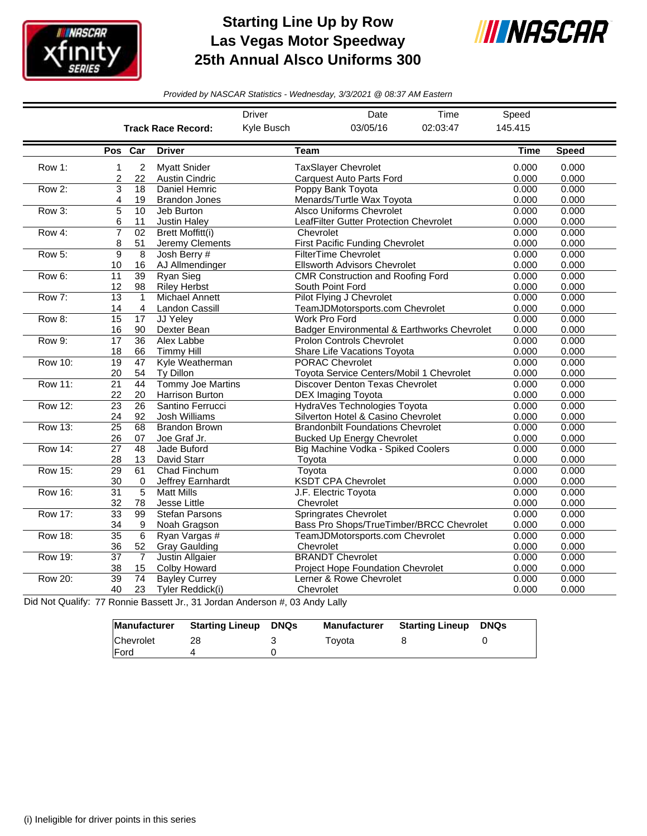

## **Starting Line Up by Row Las Vegas Motor Speedway 25th Annual Alsco Uniforms 300**



*Provided by NASCAR Statistics - Wednesday, 3/3/2021 @ 08:37 AM Eastern*

|                |                       |                                |                                              | <b>Driver</b> | Date                                                                          | Time                                        | Speed          |                |
|----------------|-----------------------|--------------------------------|----------------------------------------------|---------------|-------------------------------------------------------------------------------|---------------------------------------------|----------------|----------------|
|                |                       |                                | <b>Track Race Record:</b>                    | Kyle Busch    | 03/05/16                                                                      | 02:03:47                                    | 145.415        |                |
|                | Pos Car               |                                | <b>Driver</b>                                | Team          |                                                                               |                                             | <b>Time</b>    | <b>Speed</b>   |
| Row 1:         | 1<br>2                | $\overline{c}$<br>22           | <b>Myatt Snider</b><br><b>Austin Cindric</b> |               | <b>TaxSlayer Chevrolet</b><br><b>Carquest Auto Parts Ford</b>                 |                                             | 0.000<br>0.000 | 0.000<br>0.000 |
| Row 2:         | 3<br>4                | 18<br>19                       | <b>Daniel Hemric</b><br><b>Brandon Jones</b> |               | Poppy Bank Toyota<br>Menards/Turtle Wax Toyota                                |                                             | 0.000<br>0.000 | 0.000<br>0.000 |
| Row 3:         | 5<br>6                | $\overline{10}$<br>11          | Jeb Burton<br>Justin Haley                   |               | <b>Alsco Uniforms Chevrolet</b><br>LeafFilter Gutter Protection Chevrolet     |                                             | 0.000<br>0.000 | 0.000<br>0.000 |
| Row 4:         | 7<br>8                | $\overline{02}$<br>51          | <b>Brett Moffitt(i)</b><br>Jeremy Clements   | Chevrolet     | First Pacific Funding Chevrolet                                               |                                             | 0.000<br>0.000 | 0.000<br>0.000 |
| Row 5:         | 9<br>10               | $\overline{8}$<br>16           | Josh Berry #<br>AJ Allmendinger              |               | <b>FilterTime Chevrolet</b><br><b>Ellsworth Advisors Chevrolet</b>            |                                             | 0.000<br>0.000 | 0.000<br>0.000 |
| Row 6:         | 11<br>12              | $\overline{39}$<br>98          | Ryan Sieg<br><b>Riley Herbst</b>             |               | <b>CMR Construction and Roofing Ford</b><br>South Point Ford                  |                                             | 0.000<br>0.000 | 0.000<br>0.000 |
| Row 7:         | $\overline{13}$<br>14 | $\mathbf{1}$<br>$\overline{4}$ | <b>Michael Annett</b><br>Landon Cassill      |               | <b>Pilot Flying J Chevrolet</b><br>TeamJDMotorsports.com Chevrolet            |                                             | 0.000<br>0.000 | 0.000<br>0.000 |
| Row 8:         | $\overline{15}$<br>16 | 17<br>90                       | JJ Yeley<br>Dexter Bean                      |               | Work Pro Ford                                                                 | Badger Environmental & Earthworks Chevrolet | 0.000<br>0.000 | 0.000<br>0.000 |
| Row 9:         | 17<br>18              | 36<br>66                       | <b>Alex Labbe</b><br><b>Timmy Hill</b>       |               | <b>Prolon Controls Chevrolet</b><br>Share Life Vacations Toyota               |                                             | 0.000<br>0.000 | 0.000<br>0.000 |
| <b>Row 10:</b> | $\overline{19}$<br>20 | 47<br>54                       | Kyle Weatherman<br>Ty Dillon                 |               | <b>PORAC Chevrolet</b><br>Toyota Service Centers/Mobil 1 Chevrolet            |                                             | 0.000<br>0.000 | 0.000<br>0.000 |
| <b>Row 11:</b> | $\overline{21}$<br>22 | 44<br>20                       | <b>Tommy Joe Martins</b><br>Harrison Burton  |               | Discover Denton Texas Chevrolet<br>DEX Imaging Toyota                         |                                             | 0.000<br>0.000 | 0.000<br>0.000 |
| <b>Row 12:</b> | $\overline{23}$<br>24 | 26<br>92                       | Santino Ferrucci<br>Josh Williams            |               | HydraVes Technologies Toyota<br>Silverton Hotel & Casino Chevrolet            |                                             | 0.000<br>0.000 | 0.000<br>0.000 |
| <b>Row 13:</b> | $\overline{25}$<br>26 | 68<br>07                       | <b>Brandon Brown</b><br>Joe Graf Jr.         |               | <b>Brandonbilt Foundations Chevrolet</b><br><b>Bucked Up Energy Chevrolet</b> |                                             | 0.000<br>0.000 | 0.000<br>0.000 |
| <b>Row 14:</b> | $\overline{27}$<br>28 | $\overline{48}$<br>13          | Jade Buford<br>David Starr                   | Toyota        | Big Machine Vodka - Spiked Coolers                                            |                                             | 0.000<br>0.000 | 0.000<br>0.000 |
| <b>Row 15:</b> | 29<br>30              | 61<br>$\Omega$                 | Chad Finchum<br>Jeffrey Earnhardt            | Toyota        | <b>KSDT CPA Chevrolet</b>                                                     |                                             | 0.000<br>0.000 | 0.000<br>0.000 |
| <b>Row 16:</b> | $\overline{31}$<br>32 | 5<br>78                        | <b>Matt Mills</b><br>Jesse Little            | Chevrolet     | J.F. Electric Toyota                                                          |                                             | 0.000<br>0.000 | 0.000<br>0.000 |
| <b>Row 17:</b> | $\overline{33}$<br>34 | 99<br>9                        | <b>Stefan Parsons</b><br>Noah Gragson        |               | <b>Springrates Chevrolet</b>                                                  | Bass Pro Shops/TrueTimber/BRCC Chevrolet    | 0.000<br>0.000 | 0.000<br>0.000 |
| <b>Row 18:</b> | $\overline{35}$<br>36 | $\overline{6}$<br>52           | Ryan Vargas #<br><b>Gray Gaulding</b>        | Chevrolet     | TeamJDMotorsports.com Chevrolet                                               |                                             | 0.000<br>0.000 | 0.000<br>0.000 |
| Row 19:        | $\overline{37}$<br>38 | $\overline{7}$<br>15           | <b>Justin Allgaier</b><br>Colby Howard       |               | <b>BRANDT Chevrolet</b><br><b>Project Hope Foundation Chevrolet</b>           |                                             | 0.000<br>0.000 | 0.000<br>0.000 |
| <b>Row 20:</b> | $\overline{39}$<br>40 | 74<br>23                       | <b>Bayley Currey</b><br>Tyler Reddick(i)     | Chevrolet     | Lerner & Rowe Chevrolet                                                       |                                             | 0.000<br>0.000 | 0.000<br>0.000 |

Did Not Qualify: 77 Ronnie Bassett Jr., 31 Jordan Anderson #, 03 Andy Lally

|              | Manufacturer Starting Lineup | DNQs | <b>Manufacturer</b> | <b>Starting Lineup DNQs</b> |  |
|--------------|------------------------------|------|---------------------|-----------------------------|--|
| Chevrolet    | 28                           |      | Tovota              |                             |  |
| <b>IFord</b> |                              |      |                     |                             |  |